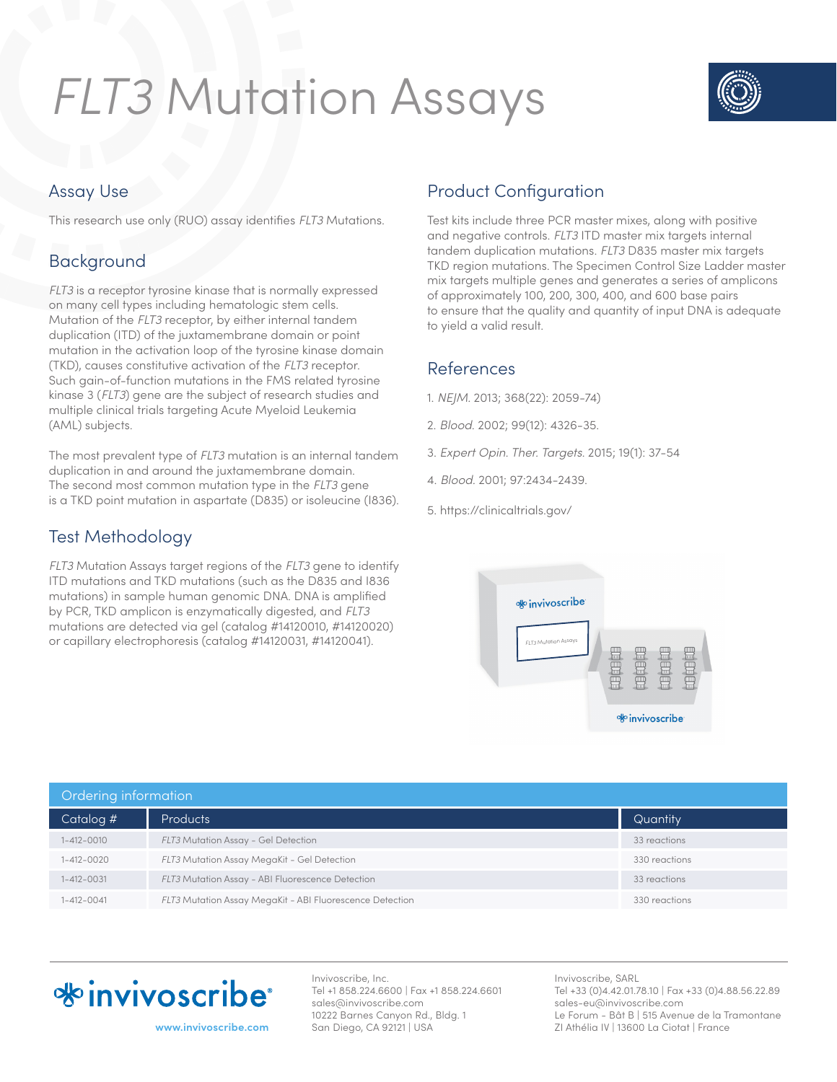# *FLT3* Mutation Assays



### Assay Use

This research use only (RUO) assay identifies *FLT3* Mutations.

# Background

*FLT3* is a receptor tyrosine kinase that is normally expressed on many cell types including hematologic stem cells. Mutation of the *FLT3* receptor, by either internal tandem duplication (ITD) of the juxtamembrane domain or point mutation in the activation loop of the tyrosine kinase domain (TKD), causes constitutive activation of the *FLT3* receptor. Such gain-of-function mutations in the FMS related tyrosine kinase 3 (*FLT3*) gene are the subject of research studies and multiple clinical trials targeting Acute Myeloid Leukemia (AML) subjects.

The most prevalent type of *FLT3* mutation is an internal tandem duplication in and around the juxtamembrane domain. The second most common mutation type in the *FLT3* gene is a TKD point mutation in aspartate (D835) or isoleucine (I836).

# Test Methodology

*FLT3* Mutation Assays target regions of the *FLT3* gene to identify ITD mutations and TKD mutations (such as the D835 and I836 mutations) in sample human genomic DNA. DNA is amplified by PCR, TKD amplicon is enzymatically digested, and *FLT3* mutations are detected via gel (catalog #14120010, #14120020) or capillary electrophoresis (catalog #14120031, #14120041).

# Product Configuration

Test kits include three PCR master mixes, along with positive and negative controls. *FLT3* ITD master mix targets internal tandem duplication mutations. *FLT3* D835 master mix targets TKD region mutations. The Specimen Control Size Ladder master mix targets multiple genes and generates a series of amplicons of approximately 100, 200, 300, 400, and 600 base pairs to ensure that the quality and quantity of input DNA is adequate to yield a valid result.

#### References

- 1. *NEJM.* 2013; 368(22): 2059-74)
- 2. *Blood*. 2002; 99(12): 4326-35.
- 3. *Expert Opin. Ther. Targets.* 2015; 19(1): 37-54
- 4. *Blood.* 2001; 97:2434-2439.
- 5. https://clinicaltrials.gov/



| <b>Ordering information</b> |                                                          |               |  |  |
|-----------------------------|----------------------------------------------------------|---------------|--|--|
| Catalog #                   | <b>Products</b>                                          | Quantity      |  |  |
| $1 - 412 - 0010$            | FLT3 Mutation Assay - Gel Detection                      | 33 reactions  |  |  |
| $1 - 412 - 0020$            | <b>FLT3 Mutation Assay MegaKit - Gel Detection</b>       | 330 reactions |  |  |
| $1 - 412 - 0031$            | FLT3 Mutation Assay - ABI Fluorescence Detection         | 33 reactions  |  |  |
| $1 - 412 - 0041$            | FLT3 Mutation Assay MegaKit - ABI Fluorescence Detection | 330 reactions |  |  |



**www.invivoscribe.com**

Invivoscribe, Inc. Tel +1 858.224.6600 | Fax +1 858.224.6601 sales@invivoscribe.com 10222 Barnes Canyon Rd., Bldg. 1 San Diego, CA 92121 | USA

Invivoscribe, SARL Tel +33 (0)4.42.01.78.10 | Fax +33 (0)4.88.56.22.89 sales-eu@invivoscribe.com Le Forum - Bât B | 515 Avenue de la Tramontane ZI Athélia IV | 13600 La Ciotat | France